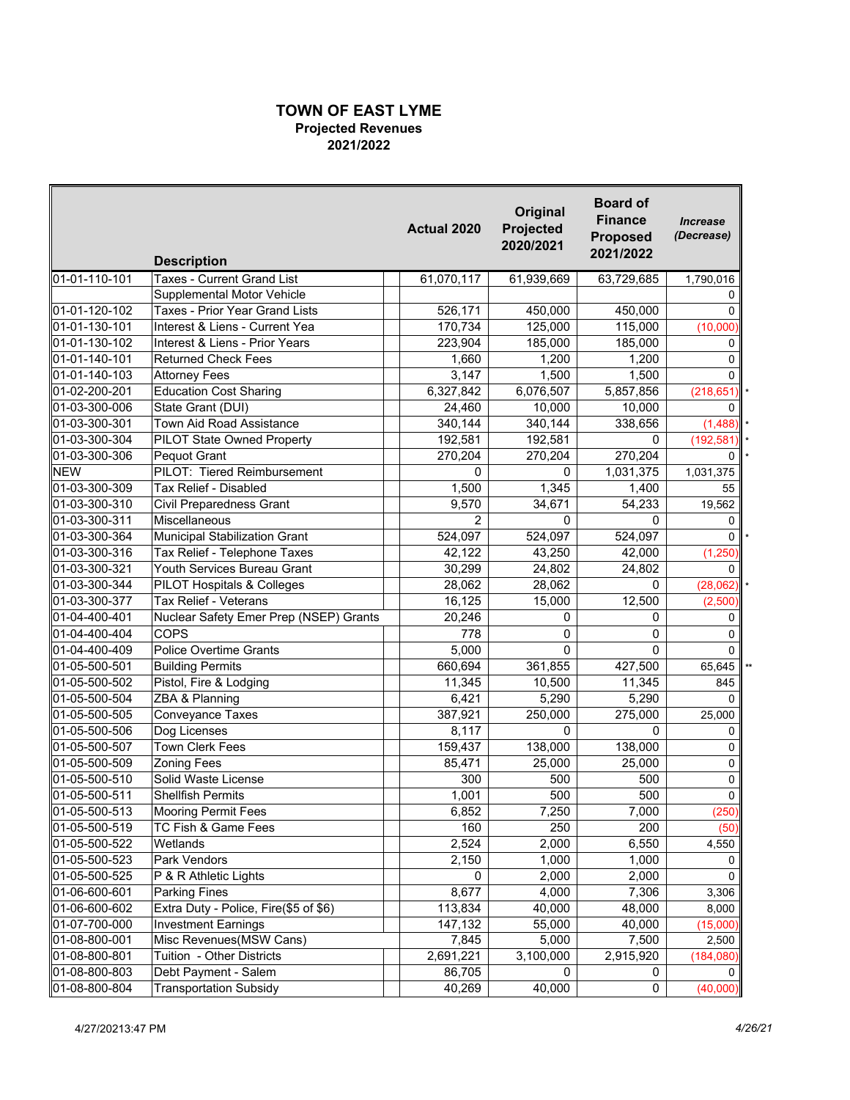## **TOWN OF EAST LYME Projected Revenues 2021/2022**

|                                | <b>Description</b>                                    | Actual 2020      | Original<br>Projected<br>2020/2021 | <b>Board of</b><br><b>Finance</b><br><b>Proposed</b><br>2021/2022 | <b>Increase</b><br>(Decrease) |
|--------------------------------|-------------------------------------------------------|------------------|------------------------------------|-------------------------------------------------------------------|-------------------------------|
| 01-01-110-101                  | <b>Taxes - Current Grand List</b>                     | 61,070,117       | 61,939,669                         | 63,729,685                                                        | 1,790,016                     |
|                                | Supplemental Motor Vehicle                            |                  |                                    |                                                                   | 0                             |
| 01-01-120-102                  | Taxes - Prior Year Grand Lists                        | 526,171          | 450,000                            | 450,000                                                           | $\Omega$                      |
| 01-01-130-101                  | Interest & Liens - Current Yea                        | 170,734          | 125,000                            | 115,000                                                           | (10,000)                      |
| 01-01-130-102                  | Interest & Liens - Prior Years                        | 223,904          | 185,000                            | 185,000                                                           | 0                             |
| 01-01-140-101                  | <b>Returned Check Fees</b>                            | 1,660            | 1,200                              | 1,200                                                             | 0                             |
| 01-01-140-103                  | <b>Attorney Fees</b>                                  | 3,147            | 1,500                              | 1,500                                                             | $\Omega$                      |
| 01-02-200-201                  | <b>Education Cost Sharing</b>                         | 6,327,842        | 6,076,507                          | 5,857,856                                                         | (218, 651)                    |
| 01-03-300-006                  | State Grant (DUI)                                     | 24,460           | 10,000                             | 10,000                                                            | 0                             |
| 01-03-300-301                  | <b>Town Aid Road Assistance</b>                       | 340,144          | 340,144                            | 338,656                                                           | (1,488)                       |
| 01-03-300-304                  | PILOT State Owned Property                            | 192,581          | 192,581                            | 0                                                                 | (192, 581)                    |
| 01-03-300-306                  | Pequot Grant                                          | 270,204          | 270,204                            | 270,204                                                           | 0                             |
| <b>NEW</b>                     | PILOT: Tiered Reimbursement                           | 0                | 0                                  | 1,031,375                                                         | 1,031,375                     |
| 01-03-300-309                  | Tax Relief - Disabled                                 | 1,500            | 1,345                              | 1,400                                                             | 55                            |
| 01-03-300-310                  | <b>Civil Preparedness Grant</b>                       | 9,570            | 34,671                             | 54,233                                                            | 19,562                        |
| 01-03-300-311                  | Miscellaneous                                         | $\overline{2}$   | 0                                  | $\Omega$                                                          | 0                             |
| 01-03-300-364                  | Municipal Stabilization Grant                         | 524,097          | 524,097                            | 524,097                                                           | $\mathbf{0}$                  |
| 01-03-300-316                  | Tax Relief - Telephone Taxes                          | 42,122           | 43,250                             | 42,000                                                            | (1, 250)                      |
| 01-03-300-321                  | Youth Services Bureau Grant                           | 30,299           | 24,802                             | 24,802                                                            | $\Omega$                      |
| 01-03-300-344                  | PILOT Hospitals & Colleges                            | 28,062           | 28,062                             | 0                                                                 | (28,062)                      |
| 01-03-300-377                  | <b>Tax Relief - Veterans</b>                          | 16,125           | 15,000                             | 12,500                                                            | (2,500)                       |
| 01-04-400-401                  | Nuclear Safety Emer Prep (NSEP) Grants                | 20,246           | 0                                  | 0                                                                 | 0                             |
| 01-04-400-404                  | COPS                                                  | 778              | 0                                  | 0                                                                 | 0                             |
| 01-04-400-409                  | <b>Police Overtime Grants</b>                         | 5,000            | 0                                  | 0                                                                 | 0                             |
| 01-05-500-501                  | <b>Building Permits</b>                               | 660,694          | 361,855                            | 427,500                                                           | 65,645                        |
| 01-05-500-502                  | Pistol, Fire & Lodging                                | 11,345           | 10,500                             | 11,345                                                            | 845                           |
| 01-05-500-504                  | ZBA & Planning                                        | 6,421            | 5,290                              | 5,290                                                             | $\Omega$                      |
| 01-05-500-505                  | Conveyance Taxes                                      | 387,921          | 250,000                            | 275,000                                                           | 25,000                        |
| 01-05-500-506                  | Dog Licenses                                          | 8,117            | 0                                  | $\Omega$                                                          | 0                             |
| 01-05-500-507                  | <b>Town Clerk Fees</b>                                | 159,437          | 138,000                            | 138,000                                                           | 0                             |
| 01-05-500-509                  | <b>Zoning Fees</b>                                    | 85,471           | 25,000                             | 25,000                                                            | 0                             |
| 01-05-500-510                  | Solid Waste License                                   | 300              | 500                                | 500                                                               | 0                             |
| 01-05-500-511                  | <b>Shellfish Permits</b>                              | 1,001            | 500                                | 500                                                               | 0                             |
| 01-05-500-513                  | <b>Mooring Permit Fees</b>                            | 6,852            | 7,250                              | 7,000                                                             | (250)                         |
| 01-05-500-519                  | TC Fish & Game Fees                                   | 160              | 250                                | 200                                                               | (50)                          |
| 01-05-500-522                  | Wetlands                                              | 2,524            | 2,000                              | 6,550                                                             | 4,550                         |
| 01-05-500-523                  | Park Vendors                                          | 2,150            | 1,000                              | 1,000                                                             | 0                             |
| 01-05-500-525                  | P & R Athletic Lights                                 | 0                |                                    |                                                                   | 0                             |
|                                | <b>Parking Fines</b>                                  | 8,677            | 2,000                              | 2,000                                                             |                               |
| 01-06-600-601<br>01-06-600-602 | Extra Duty - Police, Fire(\$5 of \$6)                 |                  | 4,000<br>40,000                    | 7,306                                                             | 3,306                         |
|                                |                                                       | 113,834          |                                    | 48,000                                                            | 8,000                         |
| 01-07-700-000<br>01-08-800-001 | <b>Investment Earnings</b><br>Misc Revenues(MSW Cans) | 147,132<br>7,845 | 55,000<br>5,000                    | 40,000<br>7,500                                                   | (15,000)                      |
|                                |                                                       |                  | 3,100,000                          |                                                                   | 2,500                         |
| 01-08-800-801<br>01-08-800-803 | Tuition - Other Districts<br>Debt Payment - Salem     | 2,691,221        | 0                                  | 2,915,920<br>0                                                    | (184,080)<br>0                |
|                                |                                                       | 86,705           |                                    |                                                                   |                               |
| 01-08-800-804                  | <b>Transportation Subsidy</b>                         | 40,269           | 40,000                             | 0                                                                 | (40,000)                      |